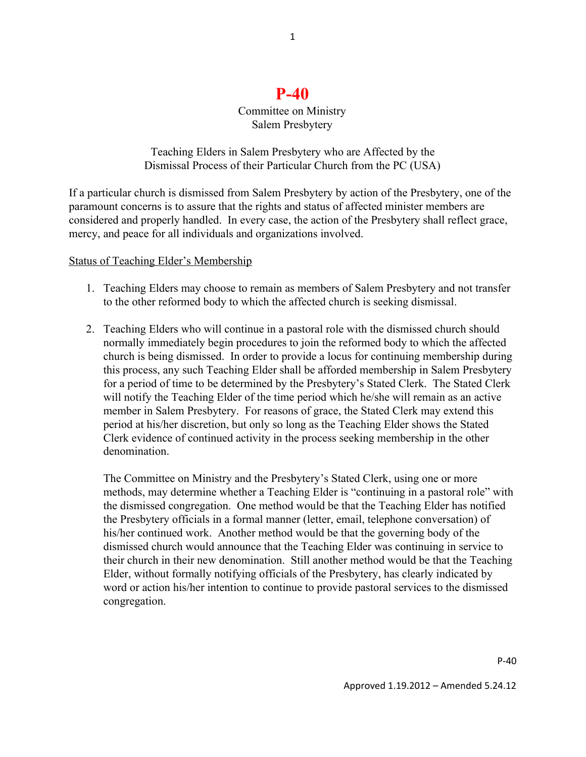## **P-40**

## Committee on Ministry Salem Presbytery

Teaching Elders in Salem Presbytery who are Affected by the Dismissal Process of their Particular Church from the PC (USA)

If a particular church is dismissed from Salem Presbytery by action of the Presbytery, one of the paramount concerns is to assure that the rights and status of affected minister members are considered and properly handled. In every case, the action of the Presbytery shall reflect grace, mercy, and peace for all individuals and organizations involved.

## Status of Teaching Elder's Membership

- 1. Teaching Elders may choose to remain as members of Salem Presbytery and not transfer to the other reformed body to which the affected church is seeking dismissal.
- 2. Teaching Elders who will continue in a pastoral role with the dismissed church should normally immediately begin procedures to join the reformed body to which the affected church is being dismissed. In order to provide a locus for continuing membership during this process, any such Teaching Elder shall be afforded membership in Salem Presbytery for a period of time to be determined by the Presbytery's Stated Clerk. The Stated Clerk will notify the Teaching Elder of the time period which he/she will remain as an active member in Salem Presbytery. For reasons of grace, the Stated Clerk may extend this period at his/her discretion, but only so long as the Teaching Elder shows the Stated Clerk evidence of continued activity in the process seeking membership in the other denomination.

The Committee on Ministry and the Presbytery's Stated Clerk, using one or more methods, may determine whether a Teaching Elder is "continuing in a pastoral role" with the dismissed congregation. One method would be that the Teaching Elder has notified the Presbytery officials in a formal manner (letter, email, telephone conversation) of his/her continued work. Another method would be that the governing body of the dismissed church would announce that the Teaching Elder was continuing in service to their church in their new denomination. Still another method would be that the Teaching Elder, without formally notifying officials of the Presbytery, has clearly indicated by word or action his/her intention to continue to provide pastoral services to the dismissed congregation.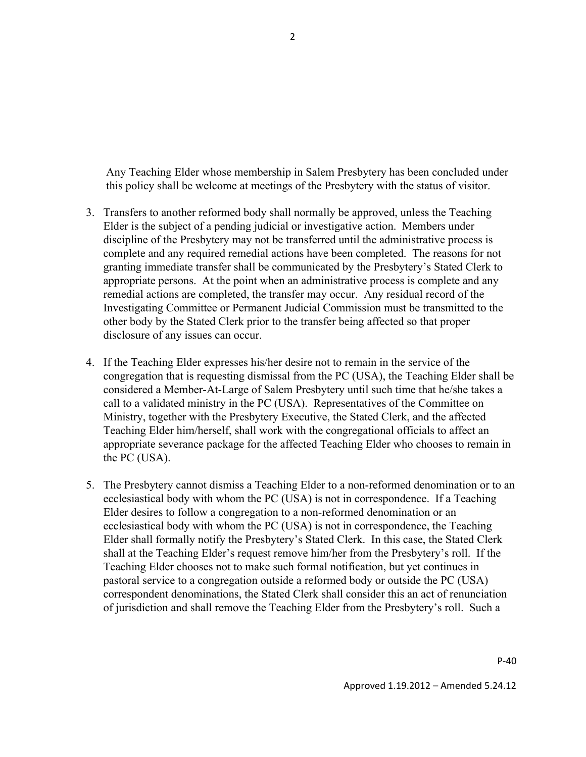Any Teaching Elder whose membership in Salem Presbytery has been concluded under this policy shall be welcome at meetings of the Presbytery with the status of visitor.

- 3. Transfers to another reformed body shall normally be approved, unless the Teaching Elder is the subject of a pending judicial or investigative action. Members under discipline of the Presbytery may not be transferred until the administrative process is complete and any required remedial actions have been completed. The reasons for not granting immediate transfer shall be communicated by the Presbytery's Stated Clerk to appropriate persons. At the point when an administrative process is complete and any remedial actions are completed, the transfer may occur. Any residual record of the Investigating Committee or Permanent Judicial Commission must be transmitted to the other body by the Stated Clerk prior to the transfer being affected so that proper disclosure of any issues can occur.
- 4. If the Teaching Elder expresses his/her desire not to remain in the service of the congregation that is requesting dismissal from the PC (USA), the Teaching Elder shall be considered a Member-At-Large of Salem Presbytery until such time that he/she takes a call to a validated ministry in the PC (USA). Representatives of the Committee on Ministry, together with the Presbytery Executive, the Stated Clerk, and the affected Teaching Elder him/herself, shall work with the congregational officials to affect an appropriate severance package for the affected Teaching Elder who chooses to remain in the PC (USA).
- 5. The Presbytery cannot dismiss a Teaching Elder to a non-reformed denomination or to an ecclesiastical body with whom the PC (USA) is not in correspondence. If a Teaching Elder desires to follow a congregation to a non-reformed denomination or an ecclesiastical body with whom the PC (USA) is not in correspondence, the Teaching Elder shall formally notify the Presbytery's Stated Clerk. In this case, the Stated Clerk shall at the Teaching Elder's request remove him/her from the Presbytery's roll. If the Teaching Elder chooses not to make such formal notification, but yet continues in pastoral service to a congregation outside a reformed body or outside the PC (USA) correspondent denominations, the Stated Clerk shall consider this an act of renunciation of jurisdiction and shall remove the Teaching Elder from the Presbytery's roll. Such a

P-40